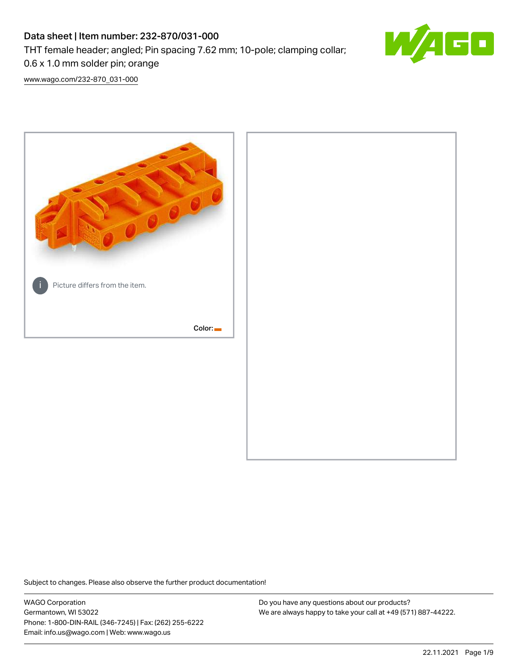## Data sheet | Item number: 232-870/031-000 THT female header; angled; Pin spacing 7.62 mm; 10-pole; clamping collar;



[www.wago.com/232-870\\_031-000](http://www.wago.com/232-870_031-000)

0.6 x 1.0 mm solder pin; orange



Subject to changes. Please also observe the further product documentation!

WAGO Corporation Germantown, WI 53022 Phone: 1-800-DIN-RAIL (346-7245) | Fax: (262) 255-6222 Email: info.us@wago.com | Web: www.wago.us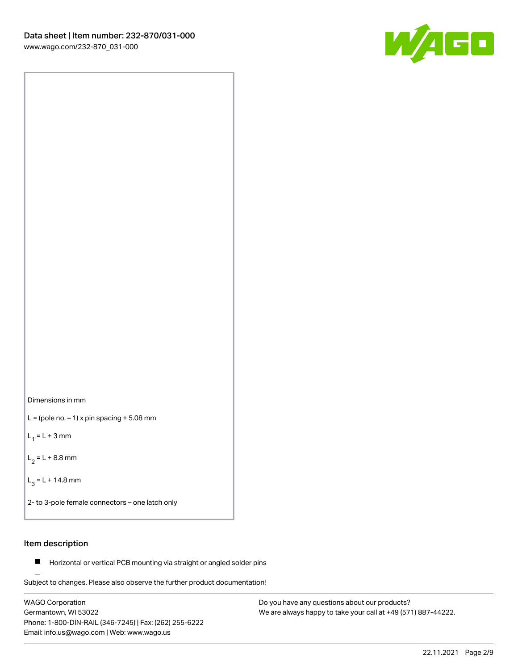



 $L =$  (pole no.  $-1$ ) x pin spacing  $+5.08$  mm

 $L_1 = L + 3$  mm

 $L_2 = L + 8.8$  mm

 $L_3 = L + 14.8$  mm

2- to 3-pole female connectors – one latch only

#### Item description

**Horizontal or vertical PCB mounting via straight or angled solder pins** 

Subject to changes. Please also observe the further product documentation! For board-to-board and board-to-wire connections

WAGO Corporation Germantown, WI 53022 Phone: 1-800-DIN-RAIL (346-7245) | Fax: (262) 255-6222 Email: info.us@wago.com | Web: www.wago.us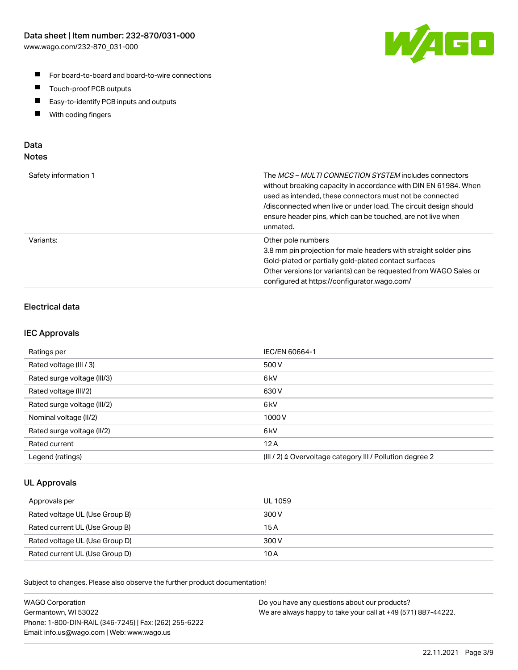

- For board-to-board and board-to-wire connections
- $\blacksquare$ Touch-proof PCB outputs
- $\blacksquare$ Easy-to-identify PCB inputs and outputs
- $\blacksquare$ With coding fingers

#### Data **Notes**

| Safety information 1 | The <i>MCS – MULTI CONNECTION SYSTEM</i> includes connectors<br>without breaking capacity in accordance with DIN EN 61984. When<br>used as intended, these connectors must not be connected<br>/disconnected when live or under load. The circuit design should<br>ensure header pins, which can be touched, are not live when<br>unmated. |
|----------------------|--------------------------------------------------------------------------------------------------------------------------------------------------------------------------------------------------------------------------------------------------------------------------------------------------------------------------------------------|
| Variants:            | Other pole numbers<br>3.8 mm pin projection for male headers with straight solder pins<br>Gold-plated or partially gold-plated contact surfaces<br>Other versions (or variants) can be requested from WAGO Sales or<br>configured at https://configurator.wago.com/                                                                        |

## Electrical data

#### IEC Approvals

| Ratings per                 | IEC/EN 60664-1                                                        |
|-----------------------------|-----------------------------------------------------------------------|
| Rated voltage (III / 3)     | 500 V                                                                 |
| Rated surge voltage (III/3) | 6 <sub>kV</sub>                                                       |
| Rated voltage (III/2)       | 630 V                                                                 |
| Rated surge voltage (III/2) | 6 <sub>kV</sub>                                                       |
| Nominal voltage (II/2)      | 1000 V                                                                |
| Rated surge voltage (II/2)  | 6 <sub>kV</sub>                                                       |
| Rated current               | 12A                                                                   |
| Legend (ratings)            | $(III / 2)$ $\triangle$ Overvoltage category III / Pollution degree 2 |

#### UL Approvals

| Approvals per                  | UL 1059 |
|--------------------------------|---------|
| Rated voltage UL (Use Group B) | 300 V   |
| Rated current UL (Use Group B) | 15 A    |
| Rated voltage UL (Use Group D) | 300 V   |
| Rated current UL (Use Group D) | 10 A    |

Subject to changes. Please also observe the further product documentation!

| <b>WAGO Corporation</b>                                | Do you have any questions about our products?                 |
|--------------------------------------------------------|---------------------------------------------------------------|
| Germantown, WI 53022                                   | We are always happy to take your call at +49 (571) 887-44222. |
| Phone: 1-800-DIN-RAIL (346-7245)   Fax: (262) 255-6222 |                                                               |
| Email: info.us@wago.com   Web: www.wago.us             |                                                               |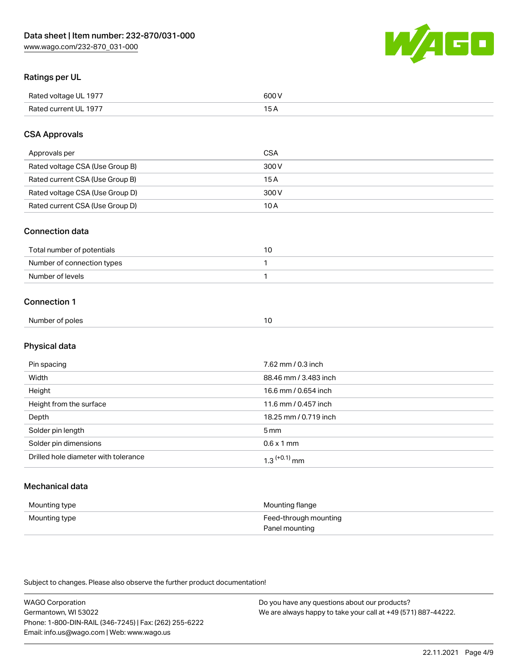

## Ratings per UL

| Rated voltage UL 1977  | coo 1 |
|------------------------|-------|
| <b>Rate</b><br>III 197 | ັ     |

## CSA Approvals

| Approvals per                   | <b>CSA</b> |
|---------------------------------|------------|
| Rated voltage CSA (Use Group B) | 300 V      |
| Rated current CSA (Use Group B) | 15 A       |
| Rated voltage CSA (Use Group D) | 300 V      |
| Rated current CSA (Use Group D) | 10 A       |

#### Connection data

| Total number of potentials |  |
|----------------------------|--|
| Number of connection types |  |
| Number of levels           |  |

#### Connection 1

| Number of poles | 10 |
|-----------------|----|
|                 |    |

## Physical data

| Pin spacing                          | 7.62 mm / 0.3 inch    |
|--------------------------------------|-----------------------|
| Width                                | 88.46 mm / 3.483 inch |
| Height                               | 16.6 mm / 0.654 inch  |
| Height from the surface              | 11.6 mm / 0.457 inch  |
| Depth                                | 18.25 mm / 0.719 inch |
| Solder pin length                    | 5 <sub>mm</sub>       |
| Solder pin dimensions                | $0.6 \times 1$ mm     |
| Drilled hole diameter with tolerance | $1.3$ $(+0.1)$ mm     |

## Mechanical data

| Mounting type | Mounting flange                         |
|---------------|-----------------------------------------|
| Mounting type | Feed-through mounting<br>Panel mounting |

Subject to changes. Please also observe the further product documentation!

| <b>WAGO Corporation</b>                                | Do you have any questions about our products?                 |
|--------------------------------------------------------|---------------------------------------------------------------|
| Germantown, WI 53022                                   | We are always happy to take your call at +49 (571) 887-44222. |
| Phone: 1-800-DIN-RAIL (346-7245)   Fax: (262) 255-6222 |                                                               |
| Email: info.us@wago.com   Web: www.wago.us             |                                                               |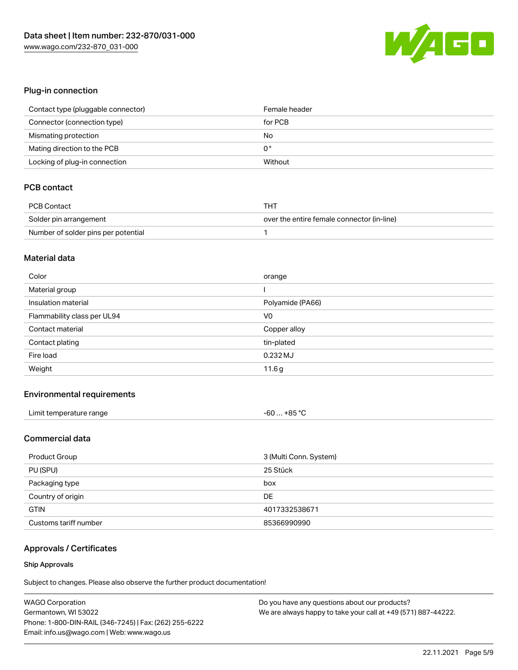

#### Plug-in connection

| Contact type (pluggable connector) | Female header |
|------------------------------------|---------------|
| Connector (connection type)        | for PCB       |
| Mismating protection               | No            |
| Mating direction to the PCB        | 0°            |
| Locking of plug-in connection      | Without       |

## PCB contact

| PCB Contact                         | THT                                        |
|-------------------------------------|--------------------------------------------|
| Solder pin arrangement              | over the entire female connector (in-line) |
| Number of solder pins per potential |                                            |

#### Material data

| Color                       | orange           |
|-----------------------------|------------------|
| Material group              |                  |
| Insulation material         | Polyamide (PA66) |
| Flammability class per UL94 | V <sub>0</sub>   |
| Contact material            | Copper alloy     |
|                             |                  |
| Contact plating             | tin-plated       |
| Fire load                   | $0.232$ MJ       |

#### Environmental requirements

| Limit temperature range | $-60+85 °C$ |
|-------------------------|-------------|
|-------------------------|-------------|

#### Commercial data

| Product Group         | 3 (Multi Conn. System) |
|-----------------------|------------------------|
| PU (SPU)              | 25 Stück               |
| Packaging type        | box                    |
| Country of origin     | DE                     |
| <b>GTIN</b>           | 4017332538671          |
| Customs tariff number | 85366990990            |

## Approvals / Certificates

#### Ship Approvals

Subject to changes. Please also observe the further product documentation!

| <b>WAGO Corporation</b>                                | Do you have any questions about our products?                 |
|--------------------------------------------------------|---------------------------------------------------------------|
| Germantown, WI 53022                                   | We are always happy to take your call at +49 (571) 887-44222. |
| Phone: 1-800-DIN-RAIL (346-7245)   Fax: (262) 255-6222 |                                                               |
| Email: info.us@wago.com   Web: www.wago.us             |                                                               |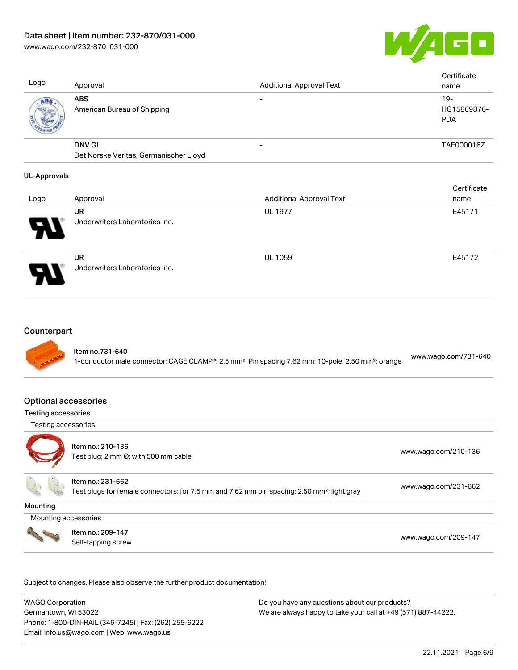[www.wago.com/232-870\\_031-000](http://www.wago.com/232-870_031-000)



Cortificate

| Logo | Approval                                                | <b>Additional Approval Text</b> | Certificate<br>name                |
|------|---------------------------------------------------------|---------------------------------|------------------------------------|
| ABS  | <b>ABS</b><br>American Bureau of Shipping               |                                 | $19-$<br>HG15869876-<br><b>PDA</b> |
|      | <b>DNV GL</b><br>Det Norske Veritas, Germanischer Lloyd |                                 | TAE000016Z                         |
|      |                                                         |                                 |                                    |

#### UL-Approvals

|      |                                             |                                 | <b>Celullcate</b> |
|------|---------------------------------------------|---------------------------------|-------------------|
| Logo | Approval                                    | <b>Additional Approval Text</b> | name              |
|      | <b>UR</b>                                   | <b>UL 1977</b>                  | E45171            |
| ₩.   | Underwriters Laboratories Inc.              |                                 |                   |
| 8    | <b>UR</b><br>Underwriters Laboratories Inc. | <b>UL 1059</b>                  | E45172            |

#### **Counterpart**



#### Optional accessories

#### Testing accessories

Testing accessories



Item no.: 210-136 Test plug; 2 nm Ø; with 500 mm cable [www.wago.com/210-136](http://www.wago.com/210-136)

Item no.: 231-662

Test plugs for female connectors; for 7.5 mm and 7.62 mm pin spacing; 2,50 mm²; light gray [www.wago.com/231-662](http://www.wago.com/231-662)

**Mounting** 

Mounting accessories



Item no.: 209-147 Next Trefficient Control 2001 147<br>Self-tapping screw [www.wago.com/209-147](http://www.wago.com/209-147)

Subject to changes. Please also observe the further product documentation!

WAGO Corporation Germantown, WI 53022 Phone: 1-800-DIN-RAIL (346-7245) | Fax: (262) 255-6222 Email: info.us@wago.com | Web: www.wago.us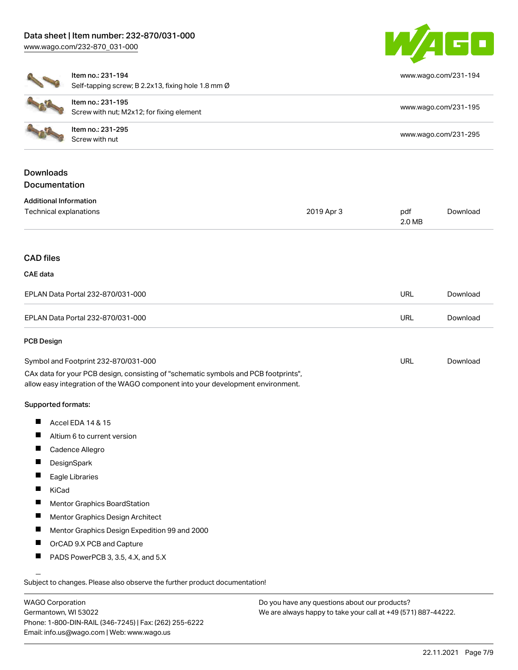# Data sheet | Item number: 232-870/031-000





[www.wago.com/231-194](http://www.wago.com/231-194)

[www.wago.com/231-195](http://www.wago.com/231-195)

[www.wago.com/231-295](http://www.wago.com/231-295)

[Download](https://www.wago.com/global/d/1435602)

2.0 MB

|                               | Item no.: 231-194                                  |            | <b>WW</b> |
|-------------------------------|----------------------------------------------------|------------|-----------|
|                               | Self-tapping screw; B 2.2x13, fixing hole 1.8 mm Ø |            |           |
|                               | Item no.: 231-195                                  |            |           |
|                               | Screw with nut; M2x12; for fixing element          |            | <b>WW</b> |
|                               | Item no.: 231-295                                  |            |           |
|                               | Screw with nut                                     |            | <b>WW</b> |
| <b>Downloads</b>              |                                                    |            |           |
| <b>Documentation</b>          |                                                    |            |           |
| <b>Additional Information</b> |                                                    |            |           |
| Technical explanations        |                                                    | 2019 Apr 3 | pdf       |
|                               |                                                    |            | 2.0       |
| <b>CAD files</b>              |                                                    |            |           |
| CAE data                      |                                                    |            |           |

| EPLAN Data Portal 232-870/031-000 | URL | Download |
|-----------------------------------|-----|----------|
| EPLAN Data Portal 232-870/031-000 | URL | Download |

#### PCB Design

| Symbol and Footprint 232-870/031-000                                                | URL | Download |
|-------------------------------------------------------------------------------------|-----|----------|
| CAx data for your PCB design, consisting of "schematic symbols and PCB footprints", |     |          |
| allow easy integration of the WAGO component into your development environment.     |     |          |

#### Supported formats:

- П Accel EDA 14 & 15
- Altium 6 to current version П
- $\blacksquare$ Cadence Allegro
- **DesignSpark**  $\blacksquare$
- $\blacksquare$ Eagle Libraries
- $\blacksquare$ KiCad
- $\blacksquare$ Mentor Graphics BoardStation
- $\blacksquare$ Mentor Graphics Design Architect
- $\blacksquare$ Mentor Graphics Design Expedition 99 and 2000
- $\blacksquare$ OrCAD 9.X PCB and Capture
- П PADS PowerPCB 3, 3.5, 4.X, and 5.X

Subject to changes. Please also observe the further product documentation!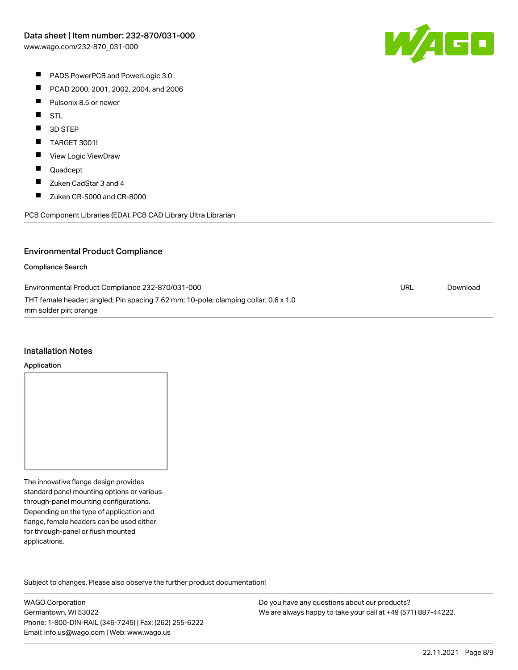

- **PADS PowerPCB and PowerLogic 3.0**
- $\blacksquare$ PCAD 2000, 2001, 2002, 2004, and 2006
- $\blacksquare$ Pulsonix 8.5 or newer
- $\blacksquare$ STL
- $\blacksquare$ 3D STEP
- $\blacksquare$ TARGET 3001!
- $\blacksquare$ View Logic ViewDraw
- $\blacksquare$ Quadcept
- $\blacksquare$ Zuken CadStar 3 and 4
- $\blacksquare$ Zuken CR-5000 and CR-8000

PCB Component Libraries (EDA), PCB CAD Library Ultra Librarian

#### Environmental Product Compliance

#### Compliance Search

| Environmental Product Compliance 232-870/031-000                                    | URL | Download |
|-------------------------------------------------------------------------------------|-----|----------|
| THT female header; angled; Pin spacing 7.62 mm; 10-pole; clamping collar; 0.6 x 1.0 |     |          |
| mm solder pin; orange                                                               |     |          |

#### Installation Notes

#### Application

The innovative flange design provides standard panel mounting options or various through-panel mounting configurations. Depending on the type of application and flange, female headers can be used either for through-panel or flush mounted applications.

Subject to changes. Please also observe the further product documentation! Product family

WAGO Corporation Germantown, WI 53022 Phone: 1-800-DIN-RAIL (346-7245) | Fax: (262) 255-6222 Email: info.us@wago.com | Web: www.wago.us